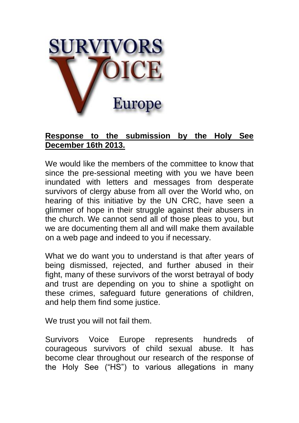

## **Response to the submission by the Holy See December 16th 2013.**

We would like the members of the committee to know that since the pre-sessional meeting with you we have been inundated with letters and messages from desperate survivors of clergy abuse from all over the World who, on hearing of this initiative by the UN CRC, have seen a glimmer of hope in their struggle against their abusers in the church. We cannot send all of those pleas to you, but we are documenting them all and will make them available on a web page and indeed to you if necessary.

What we do want you to understand is that after years of being dismissed, rejected, and further abused in their fight, many of these survivors of the worst betrayal of body and trust are depending on you to shine a spotlight on these crimes, safeguard future generations of children, and help them find some justice.

We trust you will not fail them.

Survivors Voice Europe represents hundreds of courageous survivors of child sexual abuse. It has become clear throughout our research of the response of the Holy See ("HS") to various allegations in many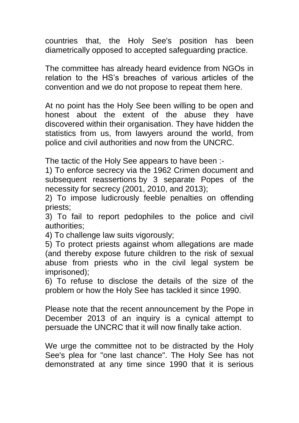countries that, the Holy See's position has been diametrically opposed to accepted safeguarding practice.

The committee has already heard evidence from NGOs in relation to the HS's breaches of various articles of the convention and we do not propose to repeat them here.

At no point has the Holy See been willing to be open and honest about the extent of the abuse they have discovered within their organisation. They have hidden the statistics from us, from lawyers around the world, from police and civil authorities and now from the UNCRC.

The tactic of the Holy See appears to have been :-

1) To enforce secrecy via the 1962 Crimen document and subsequent reassertions by 3 separate Popes of the necessity for secrecy (2001, 2010, and 2013);

2) To impose ludicrously feeble penalties on offending priests;

3) To fail to report pedophiles to the police and civil authorities;

4) To challenge law suits vigorously;

5) To protect priests against whom allegations are made (and thereby expose future children to the risk of sexual abuse from priests who in the civil legal system be imprisoned);

6) To refuse to disclose the details of the size of the problem or how the Holy See has tackled it since 1990.

Please note that the recent announcement by the Pope in December 2013 of an inquiry is a cynical attempt to persuade the UNCRC that it will now finally take action.

We urge the committee not to be distracted by the Holy See's plea for "one last chance". The Holy See has not demonstrated at any time since 1990 that it is serious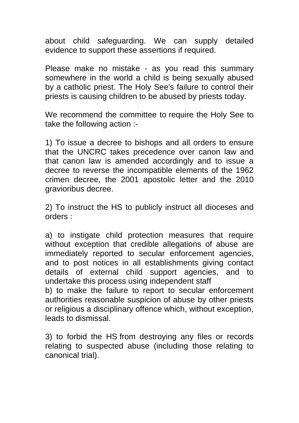about child safeguarding. We can supply detailed evidence to support these assertions if required.

Please make no mistake - as you read this summary somewhere in the world a child is being sexually abused by a catholic priest. The Holy See's failure to control their priests is causing children to be abused by priests today.

We recommend the committee to require the Holy See to take the following action :-

1) To issue a decree to bishops and all orders to ensure that the UNCRC takes precedence over canon law and that canon law is amended accordingly and to issue a decree to reverse the incompatible elements of the 1962 crimen decree, the 2001 apostolic letter and the 2010 gravioribus decree.

2) To instruct the HS to publicly instruct all dioceses and orders :

a) to instigate child protection measures that require without exception that credible allegations of abuse are immediately reported to secular enforcement agencies, and to post notices in all establishments giving contact details of external child support agencies, and to undertake this process using independent staff

b) to make the failure to report to secular enforcement authorities reasonable suspicion of abuse by other priests or religious a disciplinary offence which, without exception, leads to dismissal.

3) to forbid the HS from destroying any files or records relating to suspected abuse (including those relating to canonical trial).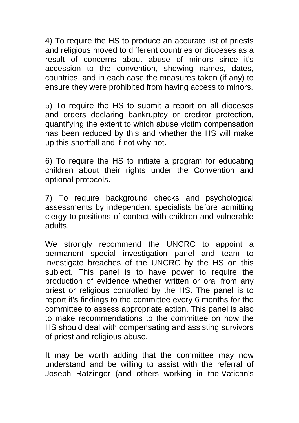4) To require the HS to produce an accurate list of priests and religious moved to different countries or dioceses as a result of concerns about abuse of minors since it's accession to the convention, showing names, dates, countries, and in each case the measures taken (if any) to ensure they were prohibited from having access to minors.

5) To require the HS to submit a report on all dioceses and orders declaring bankruptcy or creditor protection, quantifying the extent to which abuse victim compensation has been reduced by this and whether the HS will make up this shortfall and if not why not.

6) To require the HS to initiate a program for educating children about their rights under the Convention and optional protocols.

7) To require background checks and psychological assessments by independent specialists before admitting clergy to positions of contact with children and vulnerable adults.

We strongly recommend the UNCRC to appoint a permanent special investigation panel and team to investigate breaches of the UNCRC by the HS on this subject. This panel is to have power to require the production of evidence whether written or oral from any priest or religious controlled by the HS. The panel is to report it's findings to the committee every 6 months for the committee to assess appropriate action. This panel is also to make recommendations to the committee on how the HS should deal with compensating and assisting survivors of priest and religious abuse.

It may be worth adding that the committee may now understand and be willing to assist with the referral of Joseph Ratzinger (and others working in the Vatican's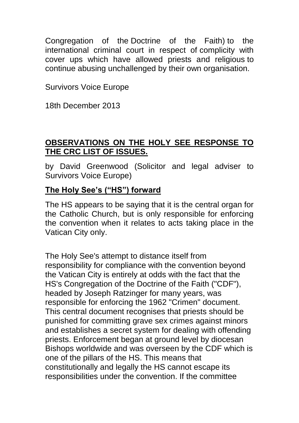Congregation of the Doctrine of the Faith) to the international criminal court in respect of complicity with cover ups which have allowed priests and religious to continue abusing unchallenged by their own organisation.

Survivors Voice Europe

18th December 2013

## **OBSERVATIONS ON THE HOLY SEE RESPONSE TO THE CRC LIST OF ISSUES.**

by David Greenwood (Solicitor and legal adviser to Survivors Voice Europe)

## **The Holy See's ("HS") forward**

The HS appears to be saying that it is the central organ for the Catholic Church, but is only responsible for enforcing the convention when it relates to acts taking place in the Vatican City only.

The Holy See's attempt to distance itself from responsibility for compliance with the convention beyond the Vatican City is entirely at odds with the fact that the HS's Congregation of the Doctrine of the Faith ("CDF"), headed by Joseph Ratzinger for many years, was responsible for enforcing the 1962 "Crimen" document. This central document recognises that priests should be punished for committing grave sex crimes against minors and establishes a secret system for dealing with offending priests. Enforcement began at ground level by diocesan Bishops worldwide and was overseen by the CDF which is one of the pillars of the HS. This means that constitutionally and legally the HS cannot escape its responsibilities under the convention. If the committee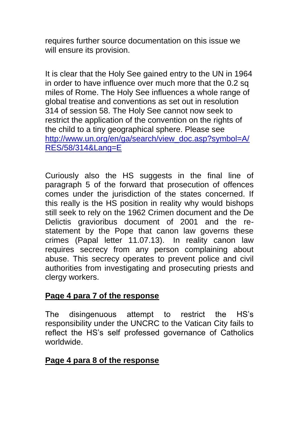requires further source documentation on this issue we will ensure its provision.

It is clear that the Holy See gained entry to the UN in 1964 in order to have influence over much more that the 0.2 sq miles of Rome. The Holy See influences a whole range of global treatise and conventions as set out in resolution 314 of session 58. The Holy See cannot now seek to restrict the application of the convention on the rights of the child to a tiny geographical sphere. Please see [http://www.un.org/en/ga/search/view\\_doc.asp?symbol=A/](http://www.un.org/en/ga/search/view_doc.asp?symbol=A/RES/58/314&Lang=E) [RES/58/314&Lang=E](http://www.un.org/en/ga/search/view_doc.asp?symbol=A/RES/58/314&Lang=E)

Curiously also the HS suggests in the final line of paragraph 5 of the forward that prosecution of offences comes under the jurisdiction of the states concerned. If this really is the HS position in reality why would bishops still seek to rely on the 1962 Crimen document and the De Delictis gravioribus document of 2001 and the restatement by the Pope that canon law governs these crimes (Papal letter 11.07.13). In reality canon law requires secrecy from any person complaining about abuse. This secrecy operates to prevent police and civil authorities from investigating and prosecuting priests and clergy workers.

### **Page 4 para 7 of the response**

The disingenuous attempt to restrict the HS's responsibility under the UNCRC to the Vatican City fails to reflect the HS's self professed governance of Catholics worldwide.

#### **Page 4 para 8 of the response**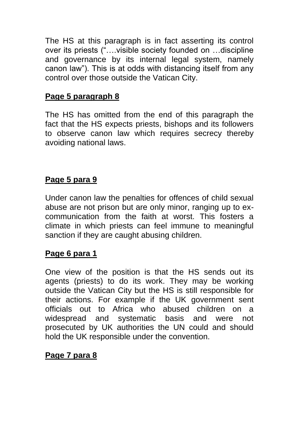The HS at this paragraph is in fact asserting its control over its priests ("….visible society founded on …discipline and governance by its internal legal system, namely canon law"). This is at odds with distancing itself from any control over those outside the Vatican City.

# **Page 5 paragraph 8**

The HS has omitted from the end of this paragraph the fact that the HS expects priests, bishops and its followers to observe canon law which requires secrecy thereby avoiding national laws.

# **Page 5 para 9**

Under canon law the penalties for offences of child sexual abuse are not prison but are only minor, ranging up to excommunication from the faith at worst. This fosters a climate in which priests can feel immune to meaningful sanction if they are caught abusing children.

## **Page 6 para 1**

One view of the position is that the HS sends out its agents (priests) to do its work. They may be working outside the Vatican City but the HS is still responsible for their actions. For example if the UK government sent officials out to Africa who abused children on a widespread and systematic basis and were not prosecuted by UK authorities the UN could and should hold the UK responsible under the convention.

## **Page 7 para 8**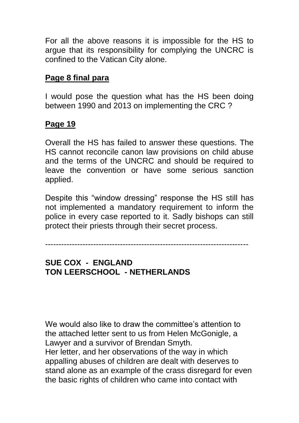For all the above reasons it is impossible for the HS to argue that its responsibility for complying the UNCRC is confined to the Vatican City alone.

### **Page 8 final para**

I would pose the question what has the HS been doing between 1990 and 2013 on implementing the CRC ?

#### **Page 19**

Overall the HS has failed to answer these questions. The HS cannot reconcile canon law provisions on child abuse and the terms of the UNCRC and should be required to leave the convention or have some serious sanction applied.

Despite this "window dressing" response the HS still has not implemented a mandatory requirement to inform the police in every case reported to it. Sadly bishops can still protect their priests through their secret process.

----------------------------------------------------------------------------

### **SUE COX - ENGLAND TON LEERSCHOOL - NETHERLANDS**

We would also like to draw the committee's attention to the attached letter sent to us from Helen McGonigle, a Lawyer and a survivor of Brendan Smyth. Her letter, and her observations of the way in which appalling abuses of children are dealt with deserves to stand alone as an example of the crass disregard for even the basic rights of children who came into contact with